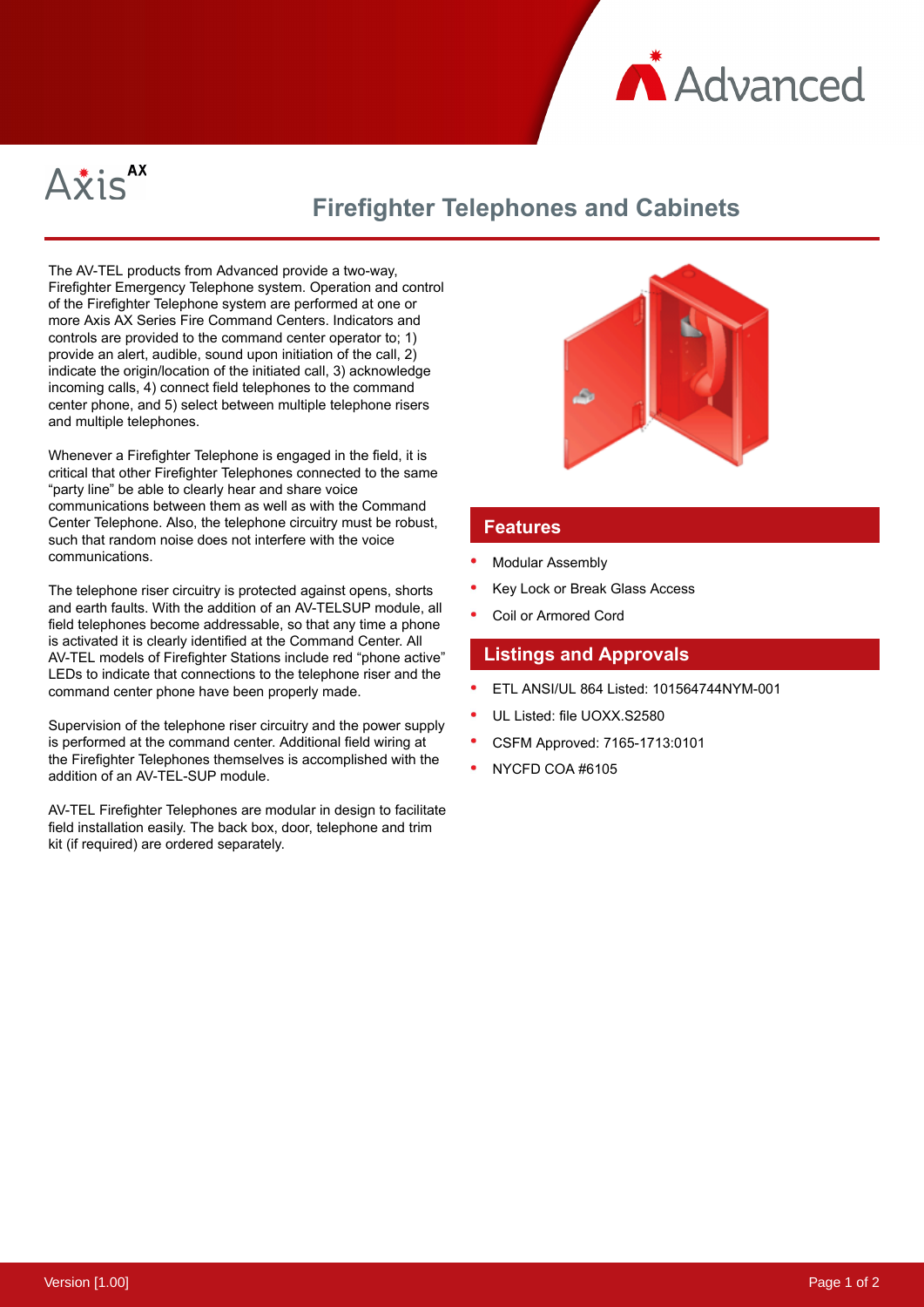



## **Firefighter Telephones and Cabinets**

The AV-TEL products from Advanced provide a two-way, Firefighter Emergency Telephone system. Operation and control of the Firefighter Telephone system are performed at one or more Axis AX Series Fire Command Centers. Indicators and controls are provided to the command center operator to; 1) provide an alert, audible, sound upon initiation of the call, 2) indicate the origin/location of the initiated call, 3) acknowledge incoming calls, 4) connect field telephones to the command center phone, and 5) select between multiple telephone risers and multiple telephones.

Whenever a Firefighter Telephone is engaged in the field, it is critical that other Firefighter Telephones connected to the same "party line" be able to clearly hear and share voice communications between them as well as with the Command Center Telephone. Also, the telephone circuitry must be robust, such that random noise does not interfere with the voice communications.

The telephone riser circuitry is protected against opens, shorts and earth faults. With the addition of an AV-TELSUP module, all field telephones become addressable, so that any time a phone is activated it is clearly identified at the Command Center. All AV-TEL models of Firefighter Stations include red "phone active" LEDs to indicate that connections to the telephone riser and the command center phone have been properly made.

Supervision of the telephone riser circuitry and the power supply is performed at the command center. Additional field wiring at the Firefighter Telephones themselves is accomplished with the addition of an AV-TEL-SUP module.

AV-TEL Firefighter Telephones are modular in design to facilitate field installation easily. The back box, door, telephone and trim kit (if required) are ordered separately.



## **Features**

- Modular Assembly
- Key Lock or Break Glass Access
- Coil or Armored Cord

## **Listings and Approvals**

- ETL ANSI/UL 864 Listed: 101564744NYM-001
- UL Listed: file UOXX.S2580
- CSFM Approved: 7165-1713:0101
- NYCFD COA #6105